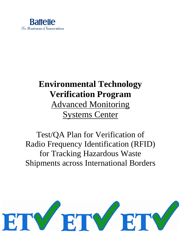

# **Environmental Technology Verification Program** Advanced Monitoring Systems Center

Test/QA Plan for Verification of Radio Frequency Identification (RFID) for Tracking Hazardous Waste Shipments across International Borders

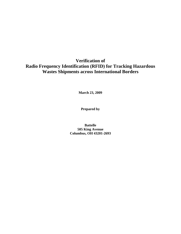### **Verification of Radio Frequency Identification (RFID) for Tracking Hazardous Wastes Shipments across International Borders**

**March 23, 2009** 

**Prepared by**

**Battelle 505 King Avenue Columbus, OH 43201-2693**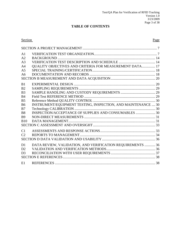### **TABLE OF CONTENTS**

#### Section Page

| A <sub>1</sub> |                                                               |  |
|----------------|---------------------------------------------------------------|--|
| A <sub>2</sub> |                                                               |  |
| A <sub>3</sub> |                                                               |  |
| A <sub>4</sub> | QUALITY OBJECTIVES AND CRITERIA FOR MEASUREMENT DATA 17       |  |
| A <sub>5</sub> |                                                               |  |
| A6             |                                                               |  |
|                |                                                               |  |
| B1             |                                                               |  |
| B <sub>2</sub> |                                                               |  |
| B <sub>3</sub> |                                                               |  |
| <b>B4</b>      |                                                               |  |
| B <sub>5</sub> |                                                               |  |
| <b>B6</b>      | INSTRUMENT/EQUIPMENT TESTING, INSPECTION, AND MAINTENANCE  30 |  |
| B7             |                                                               |  |
| <b>B8</b>      | INSPECTION/ACCEPTANCE OF SUPPLIES AND CONSUMABLES  30         |  |
| <b>B</b> 9     |                                                               |  |
| <b>B10</b>     |                                                               |  |
|                |                                                               |  |
| C <sub>1</sub> |                                                               |  |
| C <sub>2</sub> |                                                               |  |
|                |                                                               |  |
| D <sub>1</sub> | DATA REVIEW, VALIDATION, AND VERIFICATION REQUIREMENTS  36    |  |
| D2             |                                                               |  |
| D <sub>3</sub> |                                                               |  |
|                |                                                               |  |
| E1             |                                                               |  |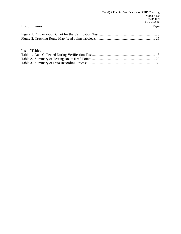|                 | Test/QA Plan for Verification of RFID Tracking |
|-----------------|------------------------------------------------|
|                 | Version 1.0                                    |
|                 | 3/23/2009                                      |
|                 | Page 4 of 38                                   |
| List of Figures | Page                                           |
|                 |                                                |
|                 |                                                |
|                 |                                                |
| List of Tables  |                                                |
|                 |                                                |
|                 |                                                |
|                 |                                                |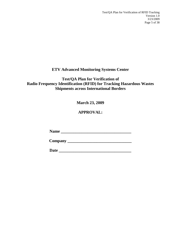### **ETV Advanced Monitoring Systems Center**

### **Test/QA Plan for Verification of Radio Frequency Identification (RFID) for Tracking Hazardous Wastes Shipments across International Borders**

### **March 23, 2009**

### **APPROVAL:**

**Name \_\_\_\_\_\_\_\_\_\_\_\_\_\_\_\_\_\_\_\_\_\_\_\_\_\_\_\_\_\_\_\_\_\_**

**Company \_\_\_\_\_\_\_\_\_\_\_\_\_\_\_\_\_\_\_\_\_\_\_\_\_\_\_\_\_\_\_**

**Date \_\_\_\_\_\_\_\_\_\_\_\_\_\_\_\_\_\_\_\_\_\_\_\_\_\_\_\_\_\_\_\_\_\_\_**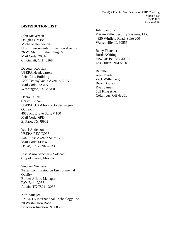#### **DISTRIBUTION LIST**

John McKernan Douglas Grosse Michelle Henderson U.S. Environmental Protection Agency 26 W. Martin Luther King Dr. Mail Code: 208A Cincinnati, OH 45268

Deborah Kopsick USEPA Headquarters Ariel Rios Building 1200 Pennsylvania Avenue, N. W. Mail Code*:* 2254A Washington, DC 20460

Debra Tellez Carlos Rincon USEPA U.S.-Mexico Border Program **Outreach** 4050 Rio Bravo Suite # 100 Mail Code: 6PD El Paso, TX 79902

Israel Anderson USEPA REGION 6 1445 Ross Avenue Suite 1200 Mail Code: 6ENXP Dallas, TX 75202-2733

Jose Mario Sanchez – Soledad City of Juarez, Mexico

Stephen Niemeyer Texas Commission on Environmental **Quality** Border Affairs Manager P.O. Box 13087 Austin, TX 78711-3087

Karl Krueger AVANTE International Technology, Inc. 70 Washington Road Princeton Junction, NJ 08550

John Samony Private Pallet Security Systems, LLC 4320 Winfield Road, Suite 200 Warrenville, IL 60555

Barry Thatcher **BorderWriting** MSC 3E PO Box 30001 Las Cruces, NM 88001

Battelle Amy Dindal Zack Willenberg Brian Boczek Ryan James 505 King Ave. Columbus, OH 43201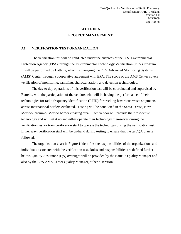### **SECTION A PROJECT MANAGEMENT**

#### <span id="page-6-1"></span><span id="page-6-0"></span>**A1 VERIFICATION TEST ORGANIZATION**

The verification test will be conducted under the auspices of the U.S. Environmental Protection Agency (EPA) through the Environmental Technology Verification (ETV) Program. It will be performed by Battelle, which is managing the ETV Advanced Monitoring Systems (AMS) Center through a cooperative agreement with EPA. The scope of the AMS Center covers verification of monitoring, sampling, characterization, and detection technologies.

The day to day operations of this verification test will be coordinated and supervised by Battelle, with the participation of the vendors who will be having the performance of their technologies for radio frequency identification (RFID) for tracking hazardous waste shipments across international borders evaluated. Testing will be conducted in the Santa Teresa, New Mexico-Jeronimo, Mexico border crossing area. Each vendor will provide their respective technology and will set it up and either operate their technology themselves during the verification test or train verification staff to operate the technology during the verification test. Either way, verification staff will be on-hand during testing to ensure that the test/QA plan is followed.

The organization chart in Figure 1 identifies the responsibilities of the organizations and individuals associated with the verification test. Roles and responsibilities are defined further below. Quality Assurance (QA) oversight will be provided by the Battelle Quality Manager and also by the EPA AMS Center Quality Manager, at her discretion.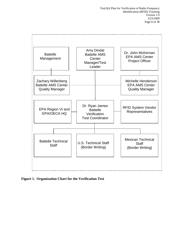

<span id="page-7-0"></span>**Figure 1. Organization Chart for the Verification Test**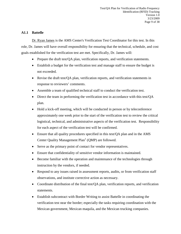#### **A1.1 Battelle**

Dr. Ryan James is the AMS Center's Verification Test Coordinator for this test. In this role, Dr. James will have overall responsibility for ensuring that the technical, schedule, and cost goals established for the verification test are met. Specifically, Dr. James will:

- Prepare the draft test/QA plan, verification reports, and verification statements.
- Establish a budget for the verification test and manage staff to ensure the budget is not exceeded.
- Revise the draft test/QA plan, verification reports, and verification statements in response to reviewers' comments.
- Assemble a team of qualified technical staff to conduct the verification test.
- Direct the team in performing the verification test in accordance with this test/QA plan.
- Hold a kick-off meeting, which will be conducted in person or by teleconference approximately one week prior to the start of the verification test to review the critical logistical, technical, and administrative aspects of the verification test. Responsibility for each aspect of the verification test will be confirmed.
- Ensure that all quality procedures specified in this test/OA plan and in the AMS Center Quality Management  $Plan<sup>1</sup> (OMP)$  are followed.
- Serve as the primary point of contact for vendor representatives.
- Ensure that confidentiality of sensitive vendor information is maintained.
- Become familiar with the operation and maintenance of the technologies through instruction by the vendors, if needed.
- Respond to any issues raised in assessment reports, audits, or from verification staff observations, and institute corrective action as necessary.
- Coordinate distribution of the final test/QA plan, verification reports, and verification statements.
- Establish subcontract with Border Writing to assist Battelle in coordinating the verification test near the border; especially the tasks requiring coordination with the Mexican government, Mexican maquila, and the Mexican trucking companies.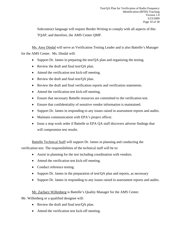Subcontract language will require Border Writing to comply with all aspects of this TQAP, and therefore, the AMS Center QMP.

Ms. Amy Dindal will serve as Verification Testing Leader and is also Battelle's Manager for the AMS Center. Ms. Dindal will:

- Support Dr. James in preparing the test/QA plan and organizing the testing.
- Review the draft and final test/QA plan.
- Attend the verification test kick-off meeting.
- Review the draft and final test/QA plan.
- Review the draft and final verification reports and verification statements.
- Attend the verification test kick-off meeting.
- Ensure that necessary Battelle resources are committed to the verification test.
- Ensure that confidentiality of sensitive vendor information is maintained.
- Support Dr. James in responding to any issues raised in assessment reports and audits.
- Maintain communication with EPA's project officer.
- Issue a stop work order if Battelle or EPA QA staff discovers adverse findings that will compromise test results.

Battelle Technical Staff will support Dr. James in planning and conducting the verification test. The responsibilities of the technical staff will be to:

- Assist in planning for the test including coordination with vendors.
- Attend the verification test kick-off meeting.
- Conduct reference testing.
- Support Dr. James in the preparation of test/QA plan and reports, as necessary
- Support Dr. James in responding to any issues raised in assessment reports and audits.

Mr. Zachary Willenberg is Battelle's Quality Manager for the AMS Center.

Mr. Willenberg or a qualified designee will:

- Review the draft and final test/QA plan.
- Attend the verification test kick-off meeting.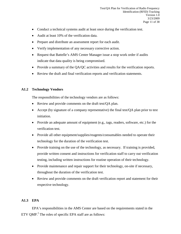- Conduct a technical systems audit at least once during the verification test.
- Audit at least 10% of the verification data.
- Prepare and distribute an assessment report for each audit.
- Verify implementation of any necessary corrective action.
- Request that Battelle's AMS Center Manager issue a stop work order if audits indicate that data quality is being compromised.
- Provide a summary of the QA/QC activities and results for the verification reports.
- Review the draft and final verification reports and verification statements.

#### **A1.2 Technology Vendors**

The responsibilities of the technology vendors are as follows:

- Review and provide comments on the draft test/QA plan.
- Accept (by signature of a company representative) the final test/QA plan prior to test initiation.
- Provide an adequate amount of equipment (e.g., tags, readers, software, etc.) for the verification test.
- Provide all other equipment/supplies/reagents/consumables needed to operate their technology for the duration of the verification test.
- Provide training on the use of the technology, as necessary. If training is provided, provide written consent and instructions for verification staff to carry out verification testing, including written instructions for routine operation of their technology.
- Provide maintenance and repair support for their technology, on-site if necessary, throughout the duration of the verification test.
- Review and provide comments on the draft verification report and statement for their respective technology.

#### **A1.3 EPA**

EPA's responsibilities in the AMS Center are based on the requirements stated in the ETV QMP.<sup>2</sup> The roles of specific EPA staff are as follows: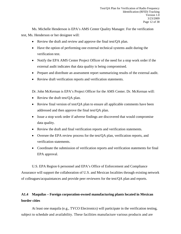Ms. Michelle Henderson is EPA's AMS Center Quality Manager. For the verification test, Ms. Henderson or her designee will:

- Review the draft and review and approve the final test/QA plan.
- Have the option of performing one external technical systems audit during the verification test.
- Notify the EPA AMS Center Project Officer of the need for a stop work order if the external audit indicates that data quality is being compromised.
- Prepare and distribute an assessment report summarizing results of the external audit.
- Review draft verification reports and verification statements.

Dr. John McKernan is EPA's Project Officer for the AMS Center. Dr. McKernan will:

- Review the draft test/QA plan.
- Review final version of test/QA plan to ensure all applicable comments have been addressed and then approve the final test/QA plan.
- Issue a stop work order if adverse findings are discovered that would compromise data quality.
- Review the draft and final verification reports and verification statements.
- Oversee the EPA review process for the test/QA plan, verification reports, and verification statements.
- Coordinate the submission of verification reports and verification statements for final EPA approval.

U.S. EPA Region 6 personnel and EPA's Office of Enforcement and Compliance Assurance will support the collaboration of U.S. and Mexican localities through existing network of colleagues/acquaintances and provide peer reviewers for the test/QA plan and reports.

### **A1.4 Maquilas – Foreign corporation-owned manufacturing plants located in Mexican border cities**

At least one maquila (e.g., TYCO Electronics) will participate in the verification testing, subject to schedule and availability. These facilities manufacture various products and are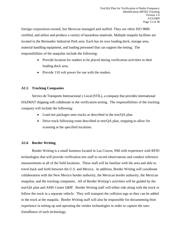foreign corporation-owned, but Mexican managed and staffed. They are often ISO 9000 certified, and utilize and produce a variety of hazardous materials. Multiple maquila facilities are located in the Bermudez Industrial Park area. Each has its own loading dock, storage area, material handling equipment, and loading personnel that can support the testing. The responsibilities of the maquilas include the following:

- Provide location for readers to be placed during verification activities in their loading dock area.
- Provide 110 volt power for use with the readers.

#### **A1.5 Trucking Companies**

Servico de Transporte Internacional y Local (STIL), a company that provides international HAZMAT shipping will collaborate in the verification testing. The responsibilities of the trucking company will include the following:

- Load test packages onto trucks as described in the test/QA plan.
- Drive truck following route described in test/QA plan, stopping to allow for scanning at the specified locations.

#### **A1.6 Border Writing**

Border Writing is a small business located in Las Cruces, NM with experience with RFID technologies that will provide verification test staff to record observations and conduct reference measurements at all of the field locations. These staff will be familiar with the area and able to travel back and forth between the U.S. and Mexico. In addition, Border Writing will coordinate collaboration with the New Mexico border authority, the Mexican border authority, the Mexican maquilas, and the trucking companies. All of Border Writing's activities will be guided by the test/QA plan and AMS Center QMP. Border Writing staff will either ride along with the truck or follow the truck in a separate vehicle. They will transport the collision tags so they can be added to the truck at the maquila. Border Writing staff will also be responsible for documenting their experience in setting up and operating the vendor technologies in order to capture the userfriendliness of each technology.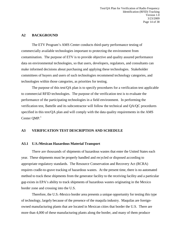#### <span id="page-13-0"></span>**A2 BACKGROUND**

The ETV Program's AMS Center conducts third-party performance testing of commercially available technologies important to protecting the environment from contamination. The purpose of ETV is to provide objective and quality assured performance data on environmental technologies, so that users, developers, regulators, and consultants can make informed decisions about purchasing and applying these technologies. Stakeholder committees of buyers and users of such technologies recommend technology categories, and technologies within those categories, as priorities for testing.

The purpose of this test/QA plan is to specify procedures for a verification test applicable to commercial RFID technologies. The purpose of the verification test is to evaluate the performance of the participating technologies in a field environment. In performing the verification test, Battelle and its subcontractor will follow the technical and QA/QC procedures specified in this test/QA plan and will comply with the data quality requirements in the AMS Center  $QMP<sup>1</sup>$ 

#### <span id="page-13-1"></span>**A3 VERIFICATION TEST DESCRIPTION AND SCHEDULE**

#### **A3.1 U.S./Mexican Hazardous Material Transport**

There are thousands of shipments of hazardous wastes that enter the United States each year. These shipments must be properly handled and recycled or disposed according to appropriate regulatory standards. The Resource Conservation and Recovery Act (RCRA) requires cradle-to-grave tracking of hazardous wastes. At the present time, there is no automated method to track these shipments from the generator facility to the receiving facility and a particular gap exists in EPA's ability to track shipments of hazardous wastes originating in the Mexico border zone and crossing into the U.S.

Therefore, the U.S.-Mexico border area presents a unique opportunity for testing this type of technology, largely because of the presence of the maquila industry. Maquilas are foreignowned manufacturing plants that are located in Mexican cities that border the U.S. There are more than 4,000 of these manufacturing plants along the border, and many of them produce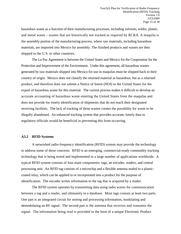hazardous waste as a function of their manufacturing processes, including solvents, solder, plastic, and metal waste – wastes that are historically not tracked as required by RCRA. A maquila is the assembly portion of the manufacturing process, where raw materials, including hazardous materials, are imported into Mexico for assembly. The finished products and wastes are then shipped to the U.S. or other countries.

The La Paz Agreement is between the United States and Mexico for the Cooperation for the Protection and Improvement of the Environment. Under this agreement, all hazardous wastes generated by raw materials shipped into Mexico for use in maquilas must be shipped back to their country of origin. Mexico does not classify the returned material as hazardous, but as a returned product, and therefore does not submit a Notice of Intent (NOI) to the United States for the export of hazardous waste for this material. The current process makes it difficult to develop an accurate accounting of hazardous waste entering the United States from the maquilas and does not provide for timely identification of shipments that do not reach their designated receiving facilities. The lack of tracking of these wastes creates the possibility for waste to be illegally abandoned. An enhanced tracking system that provides accurate, timely data to regulatory officials would be beneficial in preventing this from occurring.

#### **A3.2 RFID Systems**

A networked radio-frequency identification (RFID) system may provide the technology to address some of these concerns. RFID is an emerging, commercial-ready commodity tracking technology that is being tested and implemented in a large number of applications worldwide. A typical RFID system consists of four main components: tags, an encoder, readers, and central processing unit. An RFID tag consists of a microchip and a flexible antenna sealed in a plasticcoated inlay, which can be applied to or incorporated into a product for the purpose of identification. The encoder writes information to the tag that is acquired by a reader.

The RFID system operates by transmitting data using radio waves for communication between a tag and a reader, and ultimately to a database. Most tags contain at least two parts. One part is an integrated circuit for storing and processing information, modulating and demodulating an RF signal. The second part is the antenna that receives and transmits the signal. The information being read is provided in the form of a unique Electronic Product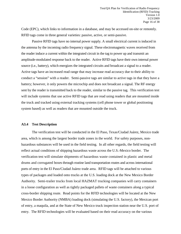Code (EPC), which links to information in a database, and may be accessed on-site or remotely. RFID tags come in three general varieties: passive, active, or semi-passive.

Passive RFID tags have no internal power supply. A small electrical current is induced in the antenna by the incoming radio frequency signal. These electromagnetic waves received from the reader induce a current within the integrated circuit in the tag to power up and transmit an amplitude-modulated response back to the reader. Active RFID tags have their own internal power source (i.e., battery), which energizes the integrated circuits and broadcast a signal to a reader. Active tags have an increased read range that may increase read accuracy due to their ability to conduct a "session" with a reader. Semi-passive tags are similar to active tags in that they have a battery; however, it only powers the microchip and does not broadcast a signal. The RF energy sent by the reader is transmitted back to the reader, similar to the passive tag. This verification test will include systems that use active RFID tags that are read using readers that are mounted inside the truck and tracked using external tracking systems (cell phone tower or global positioning system based) as well as readers that are mounted outside the truck.

#### **A3.4 Test Description**

The verification test will be conducted in the El Paso, Texas/Ciudad Juárez, Mexico trade area, which is among the largest border trade zones in the world. For safety purposes, nonhazardous substances will be used in the field testing. In all other regards, the field testing will reflect actual conditions of shipping hazardous waste across the U.S.-Mexico border. The verification test will simulate shipments of hazardous waste contained in plastic and metal drums and corrugated boxes through routine land transportation routes and across international ports of entry in the El Paso/Ciudad Juárez trade area. RFID tags will be attached to various types of packages and loaded onto trucks at the U.S. loading dock at the New Mexico Border Authority. Semi-trailer trucks from local HAZMAT trucking companies will carry containers in a loose configuration as well as tightly packaged pallets of waste containers along a typical cross-border shipping route. Read points for the RFID technologies will be located at the New Mexico Border Authority (NMBA) loading dock (simulating the U.S. factory), the Mexican port of entry, a maquila, and at the State of New Mexico truck inspection station near the U.S. port of entry. The RFID technologies will be evaluated based on their read accuracy on the various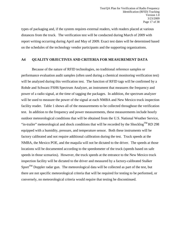types of packaging and, if the system requires external readers, with readers placed at various distances from the truck. The verification test will be conducted during March of 2009 with report writing occurring during April and May of 2009. Exact test dates will be determined based on the schedules of the technology vendor participants and the supporting organizations.

#### <span id="page-16-0"></span>**A4 QUALITY OBJECTIVES AND CRITERIA FOR MEASUREMENT DATA**

Because of the nature of RFID technologies, no traditional reference samples or performance evaluation audit samples (often used during a chemical monitoring verification test) will be analyzed during this verification test. The function of RFID tags will be confirmed by a Rohde and Schwarz FSH6 Spectrum Analyzer, an instrument that measures the frequency and power of a radio signal, at the time of tagging the packages. In addition, the spectrum analyzer will be used to measure the power of the signal at each NMBA and New Mexico truck inspection facility reader. Table 1 shows all of the measurements to be collected throughout the verification test. In addition to the frequency and power measurements, these measurements include hourly outdoor meteorological conditions that will be obtained from the U.S. National Weather Service, "in-trailer" meteorological and shock conditions that will be recorded by the Shocklog<sup>TM</sup> RD 298 equipped with a humidity, pressure, and temperature sensor. Both these instruments will be factory calibrated and not require additional calibration during the test. Truck speeds at the NMBA, the Mexico POE, and the maquila will not be dictated to the driver. The speeds at those locations will be documented according to the speedometer of the truck (speeds based on safe speeds in those scenarios). However, the truck speeds at the entrance to the New Mexico truck inspection facility will be dictated to the driver and measured by a factory-calibrated Stalker Sport<sup>TM</sup> Doppler radar gun. The meteorological data will be collected as part of the test, but there are not specific meteorological criteria that will be required for testing to be performed, or conversely, no meteorological criteria would require that testing be discontinued.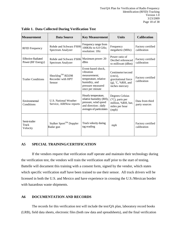| <b>Measurement</b>                             | <b>Data Source</b>                                          | <b>Key Measurement</b>                                                                                                            | <b>Units</b>                                                                                       | <b>Calibration</b>               |
|------------------------------------------------|-------------------------------------------------------------|-----------------------------------------------------------------------------------------------------------------------------------|----------------------------------------------------------------------------------------------------|----------------------------------|
| <b>RFID</b> Frequency                          | Rohde and Schwarz FSH6<br>Spectrum Analyzer                 | Frequency range from<br>100KHz to 6.0 GHz;<br>resolution: 1Hz                                                                     | Frequency<br>megahertz (MHz)                                                                       | Factory certified<br>calibration |
| <b>Effective Radiated</b><br>Power (RF Energy) | Rohde and Schwarz FSH6<br>Spectrum Analyzer                 | Maximum power: 20<br>dBm                                                                                                          | Power ratio of<br>Decibel referenced<br>to milliwatt (dBm)                                         | Factory certified<br>calibration |
| <b>Trailer Conditions</b>                      | Shocklog <sup>TM</sup> RD298<br>Recorder with HPT<br>Sensor | Event-based shock,<br>vibration<br>measurement;<br>temperature, relative<br>humidity, and<br>pressure measured<br>once per minute | Centimeter/second<br>$(cm/s)$ ,<br>gravitational force<br>$(g)$ , $C$ , %RH, and<br>inches mercury | Factory certified<br>calibration |
| Environmental<br>Conditions                    | U.S. National Weather<br>Service, AIRNow reports            | Hourly temperature,<br>relative humidity (RH),<br>pressure, wind speed<br>and direction; daily<br>averages of particulates        | Degrees Celsius<br>(°C), parts per<br>million, %RH, bar,<br>miles per hour<br>(mph)                | Data from third<br>party sources |
| Semi-trailer<br>Truck<br>Velocity              | Stalker Sport™ Doppler<br>Radar gun                         | Truck velocity during<br>tag reading                                                                                              | mph                                                                                                | Factory certified<br>calibration |

<span id="page-17-2"></span>**Table 1. Data Collected During Verification Test**

#### <span id="page-17-0"></span>**A5 SPECIAL TRAINING/CERTIFICATION**

If the vendors request that verification staff operate and maintain their technology during the verification test, the vendors will train the verification staff prior to the start of testing. Battelle will document this training with a consent form, signed by the vendor, which states which specific verification staff have been trained to use their sensor. All truck drivers will be licensed in both the U.S. and Mexico and have experience in crossing the U.S./Mexican border with hazardous waste shipments.

#### <span id="page-17-1"></span>**A6 DOCUMENTATION AND RECORDS**

The records for this verification test will include the test/QA plan, laboratory record books (LRB), field data sheets, electronic files (both raw data and spreadsheets), and the final verification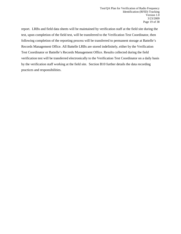report. LRBs and field data sheets will be maintained by verification staff at the field site during the test, upon completion of the field test, will be transferred to the Verification Test Coordinator, then following completion of the reporting process will be transferred to permanent storage at Battelle's Records Management Office. All Battelle LRBs are stored indefinitely, either by the Verification Test Coordinator or Battelle's Records Management Office. Results collected during the field verification test will be transferred electronically to the Verification Test Coordinator on a daily basis by the verification staff working at the field site. Section B10 further details the data recording practices and responsibilities.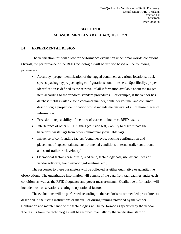### **SECTION B MEASUREMENT AND DATA ACQUISITION**

#### <span id="page-19-1"></span><span id="page-19-0"></span>**B1 EXPERIMENTAL DESIGN**

The verification test will allow for performance evaluation under "real world" conditions. Overall, the performance of the RFID technologies will be verified based on the following parameters:

- Accuracy –proper identification of the tagged containers at various locations, truck speeds, package type, packaging configurations conditions, etc. Specifically, proper identification is defined as the retrieval of all information available about the tagged item according to the vendor's standard procedures. For example, if the vendor has database fields available for a container number, container volume, and container description; a proper identification would include the retrieval of all of those pieces of information.
- Precision repeatability of the ratio of correct to incorrect RFID results
- Interference of other RFID signals (collision test) ability to discriminate the hazardous waste tags from other commercially-available tags
- Influence of confounding factors (container type, packing configuration and placement of tags/containers, environmental conditions, internal trailer conditions, and semi-trailer truck velocity)
- Operational factors (ease of use, read time, technology cost, user-friendliness of vendor software, troubleshooting/downtime, etc.)

The responses to these parameters will be collected as either qualitative or quantitative observations. The quantitative information will consist of the data from tag readings under each condition, as well as the RFID frequency and power measurements. Qualitative information will include those observations relating to operational factors.

The evaluations will be performed according to the vendor's recommended procedures as described in the user's instructions or manual, or during training provided by the vendor. Calibration and maintenance of the technologies will be performed as specified by the vendor. The results from the technologies will be recorded manually by the verification staff on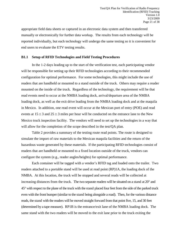appropriate field data sheets or captured in an electronic data system and then transferred manually or electronically for further data workup. The results from each technology will be reported individually, but each technology will undergo the same testing so it is convenient for end users to evaluate the ETV testing results.

#### **B1.1 Setup of RFID Technologies and Field Testing Procedures**

In the 1-2 days leading up to the start of the verification test, each participating vendor will be responsible for setting up their RFID technologies according to their recommended configuration for optimal performance. For some technologies, this might include the use of readers that are handheld or mounted to a stand outside of the truck. Others may require a reader mounted on the inside of the truck. Regardless of the technology, the requirement will be that read events need to occur at the NMBA loading dock, arrival/departure area of the NMBA loading dock, as well as the exit drive leading from the NMBA loading dock and at the maquila in Mexico. In addition, one read event will occur at the Mexican port of entry (POE) and read events at  $15 \pm 3$  and  $25 \pm 3$  miles per hour will be conducted on the entrance lane to the New Mexico truck inspection facility. The vendors will need to set up the technologies in a way that will allow for the completion of the scope described in the test/QA plan.

Table 2 provides a summary of the testing route read points. The route is designed to simulate the import of raw materials to the Mexican maquila facilities and the return of the hazardous waste generated by these materials. If the participating RFID technologies consist of readers that are handheld or mounted to a fixed location outside of the truck, vendors can configure the system (e.g., reader angles/heights) for optimal performance.

Each container will be tagged with a vendor's RFID tag and loaded onto the trailer. Two readers attached to a portable stand will be used at read point (RP)1A, the loading dock of the NMBA. At this location, the truck will be stopped and several reads will be collected at increasing distances from the truck. The two separate readers will be situated on a stand at 20° and 45° with respect to the plane of the truck with the stand placed four feet from the side of the parked truck even with the front bumper (similar to the stand being alongside a road). Then, for the various distance reads, the stand with the readers will be moved straight forward from that point five, 15, and 30 feet (determined by a tape measure). RP1B is the entrance/exit lane of the NMBA loading dock. The same stand with the two readers will be moved to the exit lane prior to the truck exiting the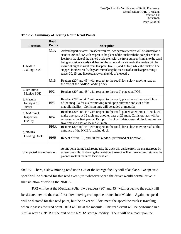| <b>Location</b>                                | <b>Read</b><br><b>Points</b> | <b>Description</b>                                                                                                                                                                                                                                                                                                                                                                                                                                                                                                                                                                                              |  |  |
|------------------------------------------------|------------------------------|-----------------------------------------------------------------------------------------------------------------------------------------------------------------------------------------------------------------------------------------------------------------------------------------------------------------------------------------------------------------------------------------------------------------------------------------------------------------------------------------------------------------------------------------------------------------------------------------------------------------|--|--|
| 1. NMBA<br><b>Loading Dock</b>                 | RP1A                         | Arrival/departure area: if readers required, two separate readers will be situated on a<br>stand at 20° and 45° with respect to the plane of the truck with the pole placed four<br>feet from the side of the parked truck even with the front bumper (similar to the stand<br>being alongside a road) and then for the various distance reads, the readers will be<br>moved straight forward from that point five, 15, and 30 feet; while the truck will be<br>stopped for these reads, they are mimicking the scenario of a truck approaching a<br>reader 30, 15, and five feet away on the side of the road; |  |  |
|                                                | RP1B                         | Readers ( $20^{\circ}$ and $45^{\circ}$ with respect to the road) for a slow-moving read at<br>the exit of the NMBA loading dock                                                                                                                                                                                                                                                                                                                                                                                                                                                                                |  |  |
| 2. Jeronimo<br>RP <sub>2</sub><br>Mexico POE   |                              | Readers (20° and 45° with respect to the road) placed at POE.                                                                                                                                                                                                                                                                                                                                                                                                                                                                                                                                                   |  |  |
| 3. Maquila<br>RP3<br>facility at Cd.<br>Juárez |                              | Readers (20° and 45° with respect to the road) placed at entrance/exit lane<br>of the maquila for a slow moving read upon entrance and exit of the<br>maquila facility. Collision tags will be added at maquila.                                                                                                                                                                                                                                                                                                                                                                                                |  |  |
| 4. NM Truck<br>Inspection<br>RP4<br>Facility   |                              | Readers (20° and 45° with respect to the road) placed at entrance. Truck will<br>make one pass at 15 mph and another pass at 25 mph. Collision tags will be<br>removed after first pass at 15 mph. Truck will drive around block and return<br>two times to pass at 15 and 25 mph                                                                                                                                                                                                                                                                                                                               |  |  |
| 5. NMBA                                        | RP <sub>5</sub> A.           | Readers ( $20^{\circ}$ and $45^{\circ}$ with respect to the road) for a slow-moving read at the<br>entrance of the NMBA loading dock.                                                                                                                                                                                                                                                                                                                                                                                                                                                                           |  |  |
| <b>Loading Dock</b>                            | RP <sub>5</sub> B            | Repeat of five, 15, and 30 feet reads as performed at Location 1.                                                                                                                                                                                                                                                                                                                                                                                                                                                                                                                                               |  |  |
| <b>Unexpected Route Deviaton</b>               |                              | At one point during each round-trip, the truck will deviate from the planned route by<br>at least one mile. Following the deviation, the truck will turn around and return to the<br>planned route at the same location it left.                                                                                                                                                                                                                                                                                                                                                                                |  |  |

<span id="page-21-0"></span>**Table 2. Summary of Testing Route Read Points**

facility. There, a slow-moving read upon exit of the storage facility will take place. No specific speed will be dictated for this read event, just whatever speed the driver would normal drive in that situation of exiting the NMBA.

RP2 will be at the Mexican POE. Two readers (20° and 45° with respect to the road) will be situated next to the road for a slow moving read upon entrance into Mexico. Again, no speed will be dictated for this read point, but the driver will document the speed the truck is traveling when it passes the read point. RP3 will be at the maquila. This read event will be performed in a similar way as RP1B at the exit of the NMBA storage facility. There will be a read upon the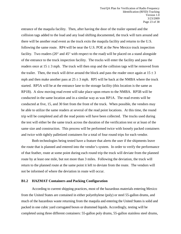entrance of the maquila facility. Then, after having the door of the trailer opened and the collision tags added to the load and any load shifting documented, the truck will turn around and there will be another read event as the truck exits the maquila facility and returns to the U.S. following the same route. RP4 will be near the U.S. POE at the New Mexico truck inspection facility. Two readers (20° and 45° with respect to the road) will be placed on a stand alongside of the entrance to the truck inspection facility. The trucks will enter the facility and pass the readers once at  $15 \pm 3$  mph. The truck will then stop and the collision tags will be removed from the trailer. Then, the truck will drive around the block and pass the reader once again at  $15 \pm 3$ mph and then make another pass at  $25 \pm 3$  mph. RP5 will be back at the NMBA where the truck started. RP5A will be at the entrance lane to the storage facility (this location is the same as RP1B). A slow moving read event will take place upon return to the NMBA. RP5B will be conducted in the same location and in a similar way as was RP1A. The read events will be conducted at five, 15, and 30 feet from the front of the truck. When possible, the vendors may be able to utilize the same readers at several of the read point locations. At this time, the round trip will be completed and all the read points will have been collected. The trucks used during the test will either be the same truck across the duration of the verification test or at least of the same size and construction. This process will be performed twice with loosely packed containers and twice with tightly palletized containers for a total of four round trips for each vendor.

Both technologies being tested have a feature that alerts the user if the shipments leave the route that is planned and entered into the vendor's system. In order to verify the performance of that feather, route at some point during each round trip the truck will deviate from the planned route by at least one mile, but not more than 3 miles. Following the deviation, the truck will return to the planned route at the same point it left to deviate from the route. The vendors will not be informed of where the deviation in route will occur.

#### **B1.2 HAZMAT Containers and Packing Configuration**

According to current shipping practices, most of the hazardous materials entering Mexico from the United States are contained in either polyethylene (poly) or steel 55-gallon drums, and much of the hazardous waste returning from the maquila and entering the United States is solid and packed in one cubic yard corrugated boxes or drummed liquids. Accordingly, testing will be completed using three different containers: 55-gallon poly drums, 55-gallon stainless steel drums,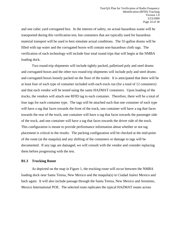and one cubic yard corrugated box. In the interest of safety, no actual hazardous waste will be transported during this verification test, but containers that are typically used for hazardous material transport will be used to best simulate actual conditions. The 55-gallon drums will be filled with tap water and the corrugated boxes will contain non-hazardous cloth rags. The verification of each technology will include four total round trips that will begin at the NMBA loading dock.

Two round-trip shipments will include tightly packed, palletized poly and steel drums and corrugated boxes and the other two round-trip shipments will include poly and steel drums and corrugated boxes loosely packed on the floor of the trailer. It is anticipated that there will be at least four of each type of container included with each truck run (for a total of 12 containers) and that each vendor will be tested using the same HAZMAT containers. Upon loading of the trucks, the vendors will attach one RFID tag to each container. Therefore, there will be a total of four tags for each container type. The tags will be attached such that one container of each type will have a tag that faces towards the front of the truck, one container will have a tag that faces towards the rear of the truck, one container will have a tag that faces towards the passenger side of the truck, and one container will have a tag that faces towards the driver side of the truck. This configuration is meant to provide performance information about whether or not tag placement is critical to the results. The packing configuration will be checked at the mid-point of the route (at the maquila) and any shifting of the containers or damage to tags will be documented. If any tags are damaged, we will consult with the vendor and consider replacing them before progressing with the test.

#### **B1.3 Trucking Route**

As depicted on the map in Figure 1, the trucking route will occur between the NMBA loading dock near Santa Teresa, New Mexico and the maquila(s) in Ciudad Juárez Mexico and back again. It will also include passage through the Santa Teresa, New Mexico and Jeronimo, Mexico International POE. The selected route replicates the typical HAZMAT routes across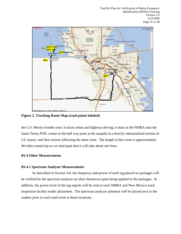

<span id="page-24-0"></span>**Figure 2. Trucking Route Map (read points labeled)**

the U.S.-Mexico border zone: it mixes urban and highway driving; it starts at the NMBA near the Santa Teresa POE, comes to the half way point at the maquila in a heavily industrialized section of Cd. Juarez, and then returns following the same route. The length of this route is approximately 40 miles round-trip so we anticipate that it will take about one hour.

#### **B1.4 Other Measurements**

#### **B1.4.1 Spectrum Analyzer Measurements**

As described in Section A4, the frequency and power of each tag placed on packages will be verified by the spectrum analyzer (at short distances) upon being applied to the packages. In addition, the power level of the tag signals will be read at each NMBA and New Mexico truck inspection facility reader placement. The spectrum analyzer antennae will be placed next to the readers prior to each read event at those locations.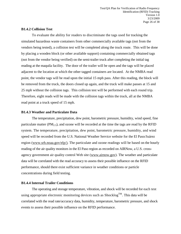#### **B1.4.2 Collision Test**

To evaluate the ability for readers to discriminate the tags used for tracking the simulated hazardous waste containers from other commercially available tags (not from the vendors being tested), a collision test will be completed along the truck route. This will be done by placing a wooden block (or other available support) containing commercially obtained tags (not from the vendor being verified) on the semi-trailer truck after completing the initial tag reading at the maquila facility. The door of the trailer will be open and the tags will be placed adjacent to the location at which the other tagged containers are located. At the NMBA read point, the vendor tags will be read upon the initial 15 mph pass. After this reading, the block will be removed from the truck, the doors closed up again, and the truck will make passes at 15 and 25 mph without the collision tags. This collision test will be performed with each round trip. Therefore, eight reads will be made with the collision tags within the truck, all at the NMBA read point at a truck speed of 15 mph.

#### **B1.4.3 Weather and Particulate Data**

The temperature, precipitation, dew point, barometric pressure, humidity, wind speed, fine particulate matter ( $PM_{2.5}$ ), and ozone will be recorded at the time the tags are read by the RFID system. The temperature, precipitation, dew point, barometric pressure, humidity, and wind speed will be recorded from the U.S. National Weather Service website for the El Paso/Juárez region [\(www.srh.noaa.gov/elp/\).](http://www.srh.noaa.gov/elp/)) The particulate and ozone readings will be based on the hourly reading of the air quality monitors in the El Paso region as recorded on AIRNow, a U.S. crossagency government air quality control Web site [\(www.airnow.gov\)](http://www.airnow.gov/). The weather and particulate data will be correlated with the read accuracy to assess their possible influence on the RFID performance, should there exist sufficient variance in weather conditions or particle concentrations during field testing.

#### **B1.4.4 Internal Trailer Conditions**

The operating and storage temperature, vibration, and shock will be recorded for each test using appropriate electronic monitoring devices such as  $\text{Shocklog}^{\text{TM}}$ . This data will be correlated with the read rate/accuracy data, humidity, temperature, barometric pressure, and shock events to assess their possible influence on the RFID performance.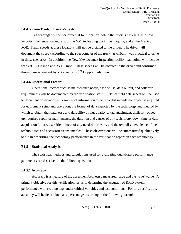#### **B1.4.5 Semi-Trailer Truck Velocity**

Tag readings will be performed at four locations while the truck is traveling at a low velocity upon entrance and exit of the NMBA loading dock, the maquila, and at the Mexico POE. Truck speeds at these locations will not be dictated to the driver. The driver will document the speed (according to the speedometer of the truck) at which it was practical to drive in those scenarios. In addition, the New Mexico truck inspection facility read points will include reads at  $15 \pm 3$  mph and  $25 \pm 3$  mph. These speeds will be dictated to the driver and confirmed through measurement by a Stalker Sport<sup>TM</sup> Doppler radar gun.

#### **B1.4.6 Operational Factors**

Operational factors such as maintenance needs, ease of use, data output, and software requirements will be documented by the verification staff. LRBs or field data sheets will be used to document observations. Examples of information to be recorded include the expertise required for equipment setup and operation, the format of data exported by the technology and method by which to obtain that data, ease and durability of tag, quality of tag attachment, difficulty of setup, required repair or maintenance, the duration and causes of any technology down time or data acquisition failure, user-friendliness of any needed software, and the overall convenience of the technologies and accessories/consumables. These observations will be summarized qualitatively to aid in describing the technology performance in the verification report on each technology.

#### **B1.5 Statistical Analysis**

The statistical methods and calculations used for evaluating quantitative performance parameters are described in the following sections.

#### **B1.5.1 Accuracy**

Accuracy is a measure of the agreement between a measured value and the "true" value. A primary objective for this verification test is to determine the accuracy of RFID system performance with reading tags under critical variables and test conditions. For this verification, accuracy will be determined as a percentage according to the following formula:

$$
A = (1 - E/N) \times 100 \tag{1}
$$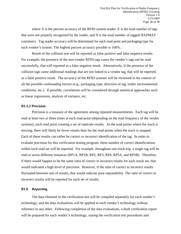where A is the percent accuracy of the RFID system reader, E is the total number of tags that were not properly recognized by the reader, and N is the total number of tagged HAZMAT containers. Tag reader accuracy will be determined for each read point and packaging type for each vendor's system. The highest percent accuracy possible is 100%.

Result of the collision test will be reported as false positive and false negative results. For example, the presence of the non-vendor RFID tags cause the vendor's tags not be read successfully, that will reported as a false negative result. Alternatively, if the presence of the collision tags cause additional readings that are not linked to a vendor tag, that will be reported as a false positive result. The accuracy of the RFID systems will be reviewed in the context of all the possible confounding factors (e.g., packaging type, direction of tag, trailer environmental conditions, etc.). If possible, correlations will be considered through statistical approaches such as linear regressions, analysis of variance, etc.

#### **B1.5.2 Precision**

Precision is a measure of the agreement among repeated measurements. Each tag will be read at least two or three times at each read point (depending on the read frequency of the vendor systems), each read point creating a set of replicate results. At the read points where the truck is moving, there will likely be fewer results than for the read points when the truck is stopped. Each of these results can either be correct or incorrect identification of the tag. In order to evaluate precision for this verification testing program, these number of correct identifications within each read set will be reported. For example, throughout one truck trip, a single tag will be read at seven different instances (RP1A, RP1B, RP2, RP3, RP4, RP5A, and RP5B). Therefore, if there would happen to be the same ratio of correct to incorrect results for each result set, that would indicated a high level of precision. However, if the ratio of correct to incorrect results fluctuated between sets of results, that would indicate poor repeatability. The ratio of correct to incorrect results will be reported for each set of results.

#### **B1.6 Reporting**

The data obtained in the verification test will be compiled separately for each vendor's technology, and the data evaluations will be applied to each vendor's technology without reference to any other. Following completion of the data evaluations, a draft verification report will be prepared for each vendor's technology, stating the verification test procedures and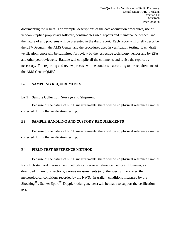documenting the results. For example, descriptions of the data acquisition procedures, use of vendor-supplied proprietary software, consumables used, repairs and maintenance needed, and the nature of any problems will be presented in the draft report. Each report will briefly describe the ETV Program, the AMS Center, and the procedures used in verification testing. Each draft verification report will be submitted for review by the respective technology vendor and by EPA and other peer reviewers. Battelle will compile all the comments and revise the reports as necessary. The reporting and review process will be conducted according to the requirements of the AMS Center OMP.<sup>1</sup>

#### <span id="page-28-0"></span>**B2 SAMPLING REQUIREMENTS**

#### **B2.1 Sample Collection, Storage and Shipment**

Because of the nature of RFID measurements, there will be no physical reference samples collected during the verification testing.

#### <span id="page-28-1"></span>**B3 SAMPLE HANDLING AND CUSTODY REQUIREMENTS**

Because of the nature of RFID measurements, there will be no physical reference samples collected during the verification testing.

#### <span id="page-28-2"></span>**B4 FIELD TEST REFERENCE METHOD**

Because of the nature of RFID measurements, there will be no physical reference samples for which standard measurement methods can serve as reference methods. However, as described in previous sections, various measurements (e.g., the spectrum analyzer, the meteorological conditions recorded by the NWS, "in-trailer" conditions measured by the Shocklog<sup>TM</sup>, Stalker Sport<sup>TM</sup> Doppler radar gun, etc.) will be made to support the verification test.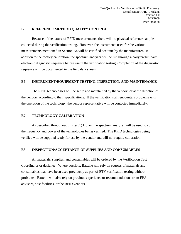#### <span id="page-29-0"></span>**B5 REFERENCE METHOD QUALITY CONTROL**

Because of the nature of RFID measurements, there will no physical reference samples collected during the verification testing. However, the instruments used for the various measurements mentioned in Section B4 will be certified accurate by the manufacturer. In addition to the factory calibration, the spectrum analyzer will be run through a daily preliminary electronic diagnostic sequence before use in the verification testing. Completion of the diagnostic sequence will be documented in the field data sheets.

#### <span id="page-29-1"></span>**B6 INSTRUMENT/EQUIPMENT TESTING, INSPECTION, AND MAINTENANCE**

The RFID technologies will be setup and maintained by the vendors or at the direction of the vendors according to their specifications. If the verification staff encounters problems with the operation of the technology, the vendor representative will be contacted immediately.

#### <span id="page-29-2"></span>**B7 TECHNOLOGY CALIBRATION**

As described throughout this test/QA plan, the spectrum analyzer will be used to confirm the frequency and power of the technologies being verified. The RFID technologies being verified will be supplied ready for use by the vendor and will not require calibration.

#### <span id="page-29-3"></span>**B8 INSPECTION/ACCEPTANCE OF SUPPLIES AND CONSUMABLES**

All materials, supplies, and consumables will be ordered by the Verification Test Coordinator or designee. Where possible, Battelle will rely on sources of materials and consumables that have been used previously as part of ETV verification testing without problems. Battelle will also rely on previous experience or recommendations from EPA advisors, host facilities, or the RFID vendors.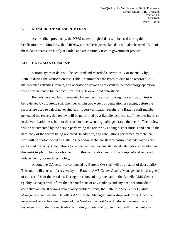#### <span id="page-30-0"></span>**B9 NON-DIRECT MEASUREMENTS**

As described previously, the NWS meteorological data will be used during this verification test. Similarly, the AIRNow atmospheric particulate data will also be used. Both of these data sources are highly regarded and are routinely used in government projects.

#### <span id="page-30-1"></span>**B10 DATA MANAGEMENT**

Various types of data will be acquired and recorded electronically or manually by Battelle during the verification test. Table 3 summarizes the types of data to be recorded. All maintenance activities, repairs, and operator observations relevant to the technology operation will be documented by technical staff in LRBs or on field data sheets.

Records received by or generated by any technical staff during the verification test will be reviewed by a Battelle staff member within two weeks of generation or receipt, before the records are used to calculate, evaluate, or report verification results. If a Battelle staff member generated the record, this review will be performed by a Battelle technical staff member involved in the verification test, but not the staff member who originally generated the record. The review will be documented by the person performing the review by adding his/her initials and date to the hard copy of the record being reviewed. In addition, any calculations performed by technical staff will be spot-checked by Battelle QA and/or technical staff to ensure that calculations are performed correctly. Calculations to be checked include any statistical calculations described in this test/QA plan. The data obtained from this verification test will be compiled and reported independently for each technology.

Among the QA activities conducted by Battelle QA staff will be an audit of data quality. This audit will consist of a review by the Battelle AMS Center Quality Manager (or his designee) of at least 10% of the test data. During the course of any such audit, the Battelle AMS Center Quality Manager will inform the technical staff of any findings and any need for immediate corrective action. If serious data quality problems exist, the Battelle AMS Center Quality Manager will request that Battelle's AMS Center Manager issue a stop work order. Once the assessment report has been prepared, the Verification Test Coordinator will ensure that a response is provided for each adverse finding or potential problem, and will implement any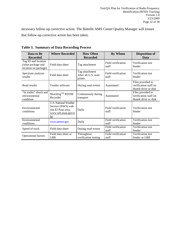necessary follow-up corrective action. The Battelle AMS Center Quality Manager will ensure that follow-up corrective action has been taken.

| Data to Be                                                       | <b>Where Recorded</b>                                                                                | <b>How Often</b>                                | By Whom                     | <b>Disposition of</b>                                             |  |  |  |  |
|------------------------------------------------------------------|------------------------------------------------------------------------------------------------------|-------------------------------------------------|-----------------------------|-------------------------------------------------------------------|--|--|--|--|
| <b>Recorded</b>                                                  |                                                                                                      | <b>Recorded</b>                                 |                             | Data                                                              |  |  |  |  |
| Tag ID and location<br>(what package and<br>location on package) | Field data sheet                                                                                     | Tag attachment                                  | Field verification<br>staff | Verification test<br>binder                                       |  |  |  |  |
| Spectrum analyzer<br>results                                     | Field data sheet                                                                                     | Tag attachment<br>After all U.S. read<br>points | Field verification<br>staff | Verification test<br>binder                                       |  |  |  |  |
| Read results                                                     | Vendor software                                                                                      | During read events                              | Automated                   | Files provided to<br>verification staff on<br>thumb drive or disk |  |  |  |  |
| "In trailer" shock and<br>environmental<br>condition             | Shocklog <sup>™</sup> RD298<br>Recorder                                                              | Continuously during<br>transport                | Automated                   | Files provided to<br>verification staff on<br>thumb drive or disk |  |  |  |  |
| Environmental<br>conditions                                      | <b>U.S. National Weather</b><br>Service (NWS) web<br>site-El Paso area,<br>www.srh.noaa.gov/e<br>lp/ | Daily                                           | Field verification<br>staff | Verification test<br>binder                                       |  |  |  |  |
| Environmental<br>conditions                                      | www.airnow.gov                                                                                       | Daily                                           | Field verification<br>staff | Verification test<br>binder                                       |  |  |  |  |
| Speed of truck                                                   | Field data sheet                                                                                     | During read events                              | Field verification<br>staff | Verification test<br>binder                                       |  |  |  |  |
| Operational factors                                              | Field data sheet or<br><b>LRB</b>                                                                    | Throughout<br>verification testing              | Field verification<br>staff | Verification test<br>binder or LRB                                |  |  |  |  |

<span id="page-31-0"></span>**Table 3. Summary of Data Recording Process**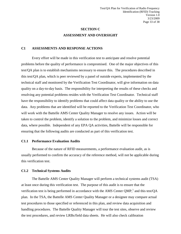### **SECTION C ASSESSMENT AND OVERSIGHT**

#### <span id="page-32-1"></span><span id="page-32-0"></span>**C1 ASSESSMENTS AND RESPONSE ACTIONS**

Every effort will be made in this verification test to anticipate and resolve potential problems before the quality of performance is compromised. One of the major objectives of this test/QA plan is to establish mechanisms necessary to ensure this. The procedures described in this test/QA plan, which is peer reviewed by a panel of outside experts, implemented by the technical staff and monitored by the Verification Test Coordinator, will give information on data quality on a day-to-day basis. The responsibility for interpreting the results of these checks and resolving any potential problems resides with the Verification Test Coordinator. Technical staff have the responsibility to identify problems that could affect data quality or the ability to use the data. Any problems that are identified will be reported to the Verification Test Coordinator, who will work with the Battelle AMS Center Quality Manager to resolve any issues. Action will be taken to control the problem, identify a solution to the problem, and minimize losses and correct data, where possible. Independent of any EPA QA activities, Battelle will be responsible for ensuring that the following audits are conducted as part of this verification test.

#### **C1.1 Performance Evaluation Audits**

Because of the nature of RFID measurements, a performance evaluation audit, as is usually performed to confirm the accuracy of the reference method, will not be applicable during this verification test.

#### **C1.2 Technical Systems Audits**

The Battelle AMS Center Quality Manager will perform a technical systems audit (TSA) at least once during this verification test. The purpose of this audit is to ensure that the verification test is being performed in accordance with the AMS Center  $QMP$ ,<sup>1</sup> and this test/ $QA$ plan. In the TSA, the Battelle AMS Center Quality Manager or a designee may compare actual test procedures to those specified or referenced in this plan, and review data acquisition and handling procedures. The Battelle Quality Manager will tour the test sites, observe and review the test procedures, and review LRBs/field data sheets. He will also check calibration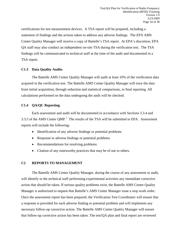certifications for test measurement devices. A TSA report will be prepared, including a statement of findings and the actions taken to address any adverse findings. The EPA AMS Center Quality Manager will receive a copy of Battelle's TSA report. At EPA's discretion, EPA QA staff may also conduct an independent on-site TSA during the verification test. The TSA findings will be communicated to technical staff at the time of the audit and documented in a TSA report.

#### **C1.3 Data Quality Audits**

The Battelle AMS Center Quality Manager will audit at least 10% of the verification data acquired in the verification test. The Battelle AMS Center Quality Manager will trace the data from initial acquisition, through reduction and statistical comparisons, to final reporting. All calculations performed on the data undergoing the audit will be checked.

#### **C1.4 QA/QC Reporting**

Each assessment and audit will be documented in accordance with Sections 3.3.4 and 3.3.5 of the AMS Center  $QMP$ <sup>1</sup>. The results of the TSA will be submitted to EPA. Assessment reports will include the following:

- Identification of any adverse findings or potential problems
- Response to adverse findings or potential problems
- Recommendations for resolving problems
- Citation of any noteworthy practices that may be of use to others.

#### <span id="page-33-0"></span>**C2 REPORTS TO MANAGEMENT**

The Battelle AMS Center Quality Manager, during the course of any assessment or audit, will identify to the technical staff performing experimental activities any immediate corrective action that should be taken. If serious quality problems exist, the Battelle AMS Center Quality Manager is authorized to request that Battelle's AMS Center Manager issue a stop work order. Once the assessment report has been prepared, the Verification Test Coordinator will ensure that a response is provided for each adverse finding or potential problem and will implement any necessary follow-up corrective action. The Battelle AMS Center Quality Manager will ensure that follow-up corrective action has been taken. The test/QA plan and final report are reviewed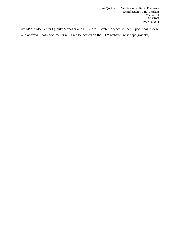by EPA AMS Center Quality Manager and EPA AMS Center Project Officer. Upon final review and approval, both documents will then be posted on the ETV website (www.epa.gov/etv).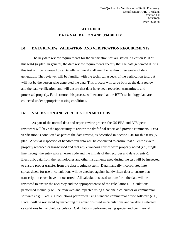### **SECTION D DATA VALIDATION AND USABILITY**

#### <span id="page-35-1"></span><span id="page-35-0"></span>**D1 DATA REVIEW, VALIDATION, AND VERIFICATION REQUIREMENTS**

The key data review requirements for the verification test are stated in Section B10 of this test/QA plan. In general, the data review requirements specify that the data generated during this test will be reviewed by a Battelle technical staff member within three weeks of data generation. The reviewer will be familiar with the technical aspects of the verification test, but will not be the person who generated the data. This process will serve both as the data review and the data verification, and will ensure that data have been recorded, transmitted, and processed properly. Furthermore, this process will ensure that the RFID technology data are collected under appropriate testing conditions.

#### <span id="page-35-2"></span>**D2 VALIDATION AND VERIFICATION METHODS**

As part of the normal data and report review process the US EPA and ETV peer reviewers will have the opportunity to review the draft final report and provide comments. Data verification is conducted as part of the data review, as described in Section B10 for this test/QA plan. A visual inspection of handwritten data will be conducted to ensure that all entries were properly recorded or transcribed and that any erroneous entries were properly noted (i.e., single line through the entry with an error code and the initials of the recorder and date of entry). Electronic data from the technologies and other instruments used during the test will be inspected to ensure proper transfer from the data logging system. Data manually incorporated into spreadsheets for use in calculations will be checked against handwritten data to ensure that transcription errors have not occurred. All calculations used to transform the data will be reviewed to ensure the accuracy and the appropriateness of the calculations. Calculations performed manually will be reviewed and repeated using a handheld calculator or commercial software (e.g., Excel). Calculations performed using standard commercial office software (e.g., Excel) will be reviewed by inspecting the equations used in calculations and verifying selected calculations by handheld calculator. Calculations performed using specialized commercial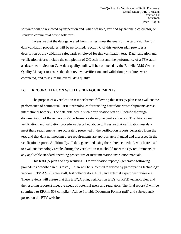software will be reviewed by inspection and, when feasible, verified by handheld calculator, or standard commercial office software.

To ensure that the data generated from this test meet the goals of the test, a number of data validation procedures will be performed. Section C of this test/QA plan provides a description of the validation safeguards employed for this verification test. Data validation and verification efforts include the completion of QC activities and the performance of a TSA audit as described in Section C. A data quality audit will be conducted by the Battelle AMS Center Quality Manager to ensure that data review, verification, and validation procedures were completed, and to assure the overall data quality.

#### <span id="page-36-0"></span>**D3 RECONCILIATION WITH USER REQUIREMENTS**

The purpose of a verification test performed following this test/QA plan is to evaluate the performance of commercial RFID technologies for tracking hazardous waste shipments across international borders. The data obtained in such a verification test will include thorough documentation of the technology's performance during the verification test. The data review, verification, and validation procedures described above will assure that verification test data meet these requirements, are accurately presented in the verification reports generated from the test, and that data not meeting these requirements are appropriately flagged and discussed in the verification reports. Additionally, all data generated using the reference method, which are used to evaluate technology results during the verification test, should meet the QA requirements of any applicable standard operating procedures or instrumentation instruction manuals.

This test/QA plan and any resulting ETV verification report(s) generated following procedures described in this test/QA plan will be subjected to review by participating technology vendors, ETV AMS Center staff, test collaborators, EPA, and external expert peer reviewers. These reviews will assure that this test/QA plan, verification test(s) of RFID technologies, and the resulting report(s) meet the needs of potential users and regulators. The final report(s) will be submitted to EPA in 508 compliant Adobe Portable Document Format (pdf) and subsequently posted on the ETV website.